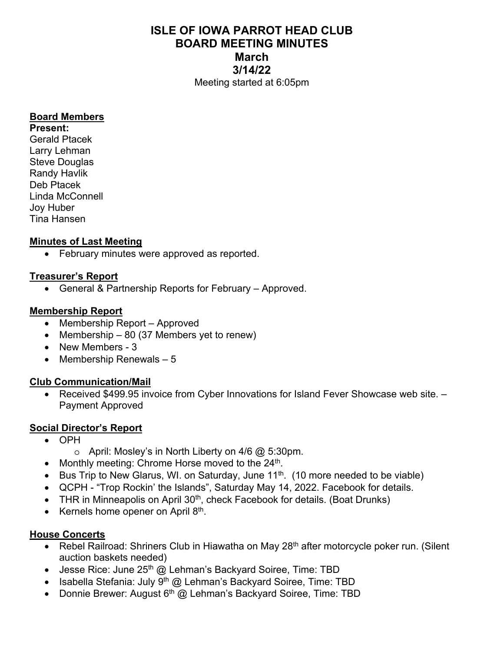# **ISLE OF IOWA PARROT HEAD CLUB BOARD MEETING MINUTES March 3/14/22**  Meeting started at 6:05pm

#### **Board Members**

**Present:**  Gerald Ptacek Larry Lehman Steve Douglas Randy Havlik Deb Ptacek Linda McConnell Joy Huber Tina Hansen

### **Minutes of Last Meeting**

• February minutes were approved as reported.

#### **Treasurer's Report**

• General & Partnership Reports for February – Approved.

#### **Membership Report**

- Membership Report Approved
- Membership  $-80$  (37 Members yet to renew)
- New Members 3
- $\bullet$  Membership Renewals 5

### **Club Communication/Mail**

• Received \$499.95 invoice from Cyber Innovations for Island Fever Showcase web site. -Payment Approved

### **Social Director's Report**

- OPH
	- $\circ$  April: Mosley's in North Liberty on 4/6  $\omega$  5:30pm.
- Monthly meeting: Chrome Horse moved to the  $24<sup>th</sup>$ .
- Bus Trip to New Glarus, WI. on Saturday, June  $11<sup>th</sup>$ . (10 more needed to be viable)
- QCPH "Trop Rockin' the Islands", Saturday May 14, 2022. Facebook for details.
- THR in Minneapolis on April  $30<sup>th</sup>$ , check Facebook for details. (Boat Drunks)
- Kernels home opener on April  $8<sup>th</sup>$ .

#### **House Concerts**

- Rebel Railroad: Shriners Club in Hiawatha on May 28<sup>th</sup> after motorcycle poker run. (Silent auction baskets needed)
- Jesse Rice: June  $25<sup>th</sup>$  @ Lehman's Backyard Soiree, Time: TBD
- Isabella Stefania: July  $9<sup>th</sup>$  @ Lehman's Backyard Soiree, Time: TBD
- Donnie Brewer: August  $6<sup>th</sup>$  @ Lehman's Backyard Soiree, Time: TBD